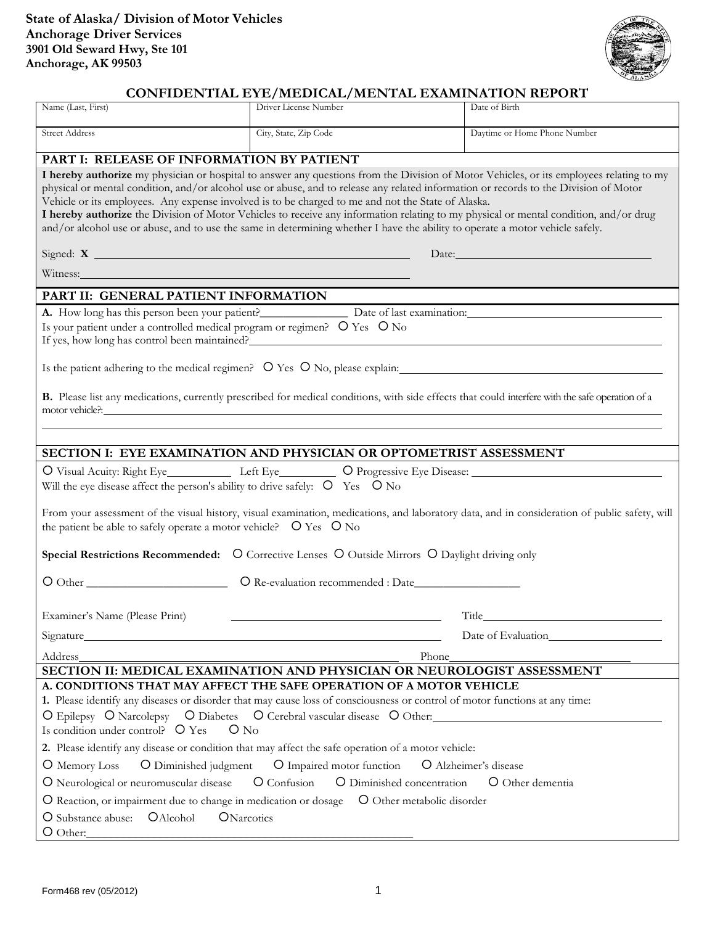

## **CONFIDENTIAL EYE/MEDICAL/MENTAL EXAMINATION REPORT**

| Name (Last, First)                                                                                                                                                                                                                                                                                                                                                                                                                                                                                                                                                                                                                                                | Driver License Number | Date of Birth                |  |
|-------------------------------------------------------------------------------------------------------------------------------------------------------------------------------------------------------------------------------------------------------------------------------------------------------------------------------------------------------------------------------------------------------------------------------------------------------------------------------------------------------------------------------------------------------------------------------------------------------------------------------------------------------------------|-----------------------|------------------------------|--|
| <b>Street Address</b>                                                                                                                                                                                                                                                                                                                                                                                                                                                                                                                                                                                                                                             | City, State, Zip Code | Daytime or Home Phone Number |  |
| PART I: RELEASE OF INFORMATION BY PATIENT                                                                                                                                                                                                                                                                                                                                                                                                                                                                                                                                                                                                                         |                       |                              |  |
| I hereby authorize my physician or hospital to answer any questions from the Division of Motor Vehicles, or its employees relating to my<br>physical or mental condition, and/or alcohol use or abuse, and to release any related information or records to the Division of Motor<br>Vehicle or its employees. Any expense involved is to be charged to me and not the State of Alaska.<br>I hereby authorize the Division of Motor Vehicles to receive any information relating to my physical or mental condition, and/or drug<br>and/or alcohol use or abuse, and to use the same in determining whether I have the ability to operate a motor vehicle safely. |                       |                              |  |
| Date: Note:                                                                                                                                                                                                                                                                                                                                                                                                                                                                                                                                                                                                                                                       |                       |                              |  |
| Witness: Witness:                                                                                                                                                                                                                                                                                                                                                                                                                                                                                                                                                                                                                                                 |                       |                              |  |
| PART II: GENERAL PATIENT INFORMATION                                                                                                                                                                                                                                                                                                                                                                                                                                                                                                                                                                                                                              |                       |                              |  |
| A. How long has this person been your patient? Date of last examination:                                                                                                                                                                                                                                                                                                                                                                                                                                                                                                                                                                                          |                       |                              |  |
| Is your patient under a controlled medical program or regimen? O Yes O No<br>If yes, how long has control been maintained?                                                                                                                                                                                                                                                                                                                                                                                                                                                                                                                                        |                       |                              |  |
| Is the patient adhering to the medical regimen? O Yes O No, please explain:                                                                                                                                                                                                                                                                                                                                                                                                                                                                                                                                                                                       |                       |                              |  |
| B. Please list any medications, currently prescribed for medical conditions, with side effects that could interfere with the safe operation of a                                                                                                                                                                                                                                                                                                                                                                                                                                                                                                                  |                       |                              |  |
|                                                                                                                                                                                                                                                                                                                                                                                                                                                                                                                                                                                                                                                                   |                       |                              |  |
| SECTION I: EYE EXAMINATION AND PHYSICIAN OR OPTOMETRIST ASSESSMENT                                                                                                                                                                                                                                                                                                                                                                                                                                                                                                                                                                                                |                       |                              |  |
| O Visual Acuity: Right Eye______________ Left Eye____________ O Progressive Eye Disease: _____________________<br>Will the eye disease affect the person's ability to drive safely: O Yes O No                                                                                                                                                                                                                                                                                                                                                                                                                                                                    |                       |                              |  |
| From your assessment of the visual history, visual examination, medications, and laboratory data, and in consideration of public safety, will<br>the patient be able to safely operate a motor vehicle? O Yes O No                                                                                                                                                                                                                                                                                                                                                                                                                                                |                       |                              |  |
| Special Restrictions Recommended: O Corrective Lenses O Outside Mirrors O Daylight driving only                                                                                                                                                                                                                                                                                                                                                                                                                                                                                                                                                                   |                       |                              |  |
| $\bigcirc$ Other                                                                                                                                                                                                                                                                                                                                                                                                                                                                                                                                                                                                                                                  |                       |                              |  |
| Examiner's Name (Please Print)                                                                                                                                                                                                                                                                                                                                                                                                                                                                                                                                                                                                                                    |                       |                              |  |
|                                                                                                                                                                                                                                                                                                                                                                                                                                                                                                                                                                                                                                                                   |                       | Date of Evaluation           |  |
| Address<br>Phone                                                                                                                                                                                                                                                                                                                                                                                                                                                                                                                                                                                                                                                  |                       |                              |  |
| SECTION II: MEDICAL EXAMINATION AND PHYSICIAN OR NEUROLOGIST ASSESSMENT                                                                                                                                                                                                                                                                                                                                                                                                                                                                                                                                                                                           |                       |                              |  |
| A. CONDITIONS THAT MAY AFFECT THE SAFE OPERATION OF A MOTOR VEHICLE                                                                                                                                                                                                                                                                                                                                                                                                                                                                                                                                                                                               |                       |                              |  |
| 1. Please identify any diseases or disorder that may cause loss of consciousness or control of motor functions at any time:                                                                                                                                                                                                                                                                                                                                                                                                                                                                                                                                       |                       |                              |  |
| O Epilepsy O Narcolepsy O Diabetes O Cerebral vascular disease O Other:                                                                                                                                                                                                                                                                                                                                                                                                                                                                                                                                                                                           |                       |                              |  |
| Is condition under control? O Yes<br>$O$ No                                                                                                                                                                                                                                                                                                                                                                                                                                                                                                                                                                                                                       |                       |                              |  |
| 2. Please identify any disease or condition that may affect the safe operation of a motor vehicle:                                                                                                                                                                                                                                                                                                                                                                                                                                                                                                                                                                |                       |                              |  |
| O Diminished judgment O Impaired motor function<br>O Alzheimer's disease<br>O Memory Loss                                                                                                                                                                                                                                                                                                                                                                                                                                                                                                                                                                         |                       |                              |  |
| O Diminished concentration<br>O Neurological or neuromuscular disease<br>O Confusion<br>O Other dementia                                                                                                                                                                                                                                                                                                                                                                                                                                                                                                                                                          |                       |                              |  |
| O Reaction, or impairment due to change in medication or dosage O Other metabolic disorder                                                                                                                                                                                                                                                                                                                                                                                                                                                                                                                                                                        |                       |                              |  |
| O Substance abuse: OAlcohol<br>ONarcotics<br>$\bigcirc$ Other:                                                                                                                                                                                                                                                                                                                                                                                                                                                                                                                                                                                                    |                       |                              |  |